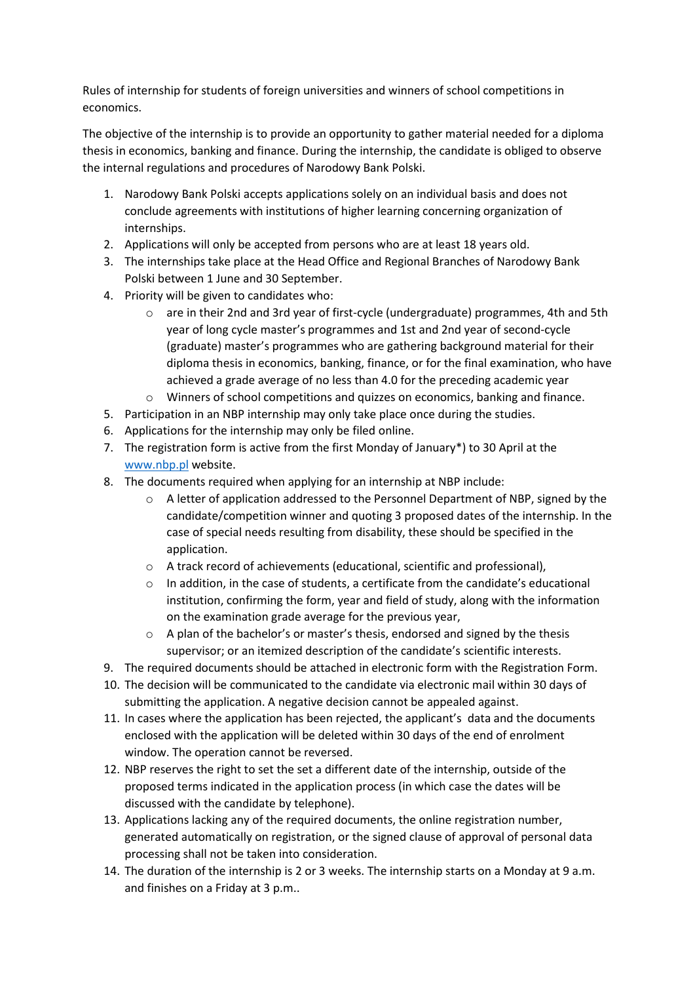Rules of internship for students of foreign universities and winners of school competitions in economics.

The objective of the internship is to provide an opportunity to gather material needed for a diploma thesis in economics, banking and finance. During the internship, the candidate is obliged to observe the internal regulations and procedures of Narodowy Bank Polski.

- 1. Narodowy Bank Polski accepts applications solely on an individual basis and does not conclude agreements with institutions of higher learning concerning organization of internships.
- 2. Applications will only be accepted from persons who are at least 18 years old.
- 3. The internships take place at the Head Office and Regional Branches of Narodowy Bank Polski between 1 June and 30 September.
- 4. Priority will be given to candidates who:
	- o are in their 2nd and 3rd year of first-cycle (undergraduate) programmes, 4th and 5th year of long cycle master's programmes and 1st and 2nd year of second-cycle (graduate) master's programmes who are gathering background material for their diploma thesis in economics, banking, finance, or for the final examination, who have achieved a grade average of no less than 4.0 for the preceding academic year
	- $\circ$  Winners of school competitions and quizzes on economics, banking and finance.
- 5. Participation in an NBP internship may only take place once during the studies.
- 6. Applications for the internship may only be filed online.
- 7. The registration form is active from the first Monday of January\*) to 30 April at the [www.nbp.pl](http://www.nbp.pl/) website.
- 8. The documents required when applying for an internship at NBP include:
	- o A letter of application addressed to the Personnel Department of NBP, signed by the candidate/competition winner and quoting 3 proposed dates of the internship. In the case of special needs resulting from disability, these should be specified in the application.
	- o A track record of achievements (educational, scientific and professional),
	- $\circ$  In addition, in the case of students, a certificate from the candidate's educational institution, confirming the form, year and field of study, along with the information on the examination grade average for the previous year,
	- $\circ$  A plan of the bachelor's or master's thesis, endorsed and signed by the thesis supervisor; or an itemized description of the candidate's scientific interests.
- 9. The required documents should be attached in electronic form with the Registration Form.
- 10. The decision will be communicated to the candidate via electronic mail within 30 days of submitting the application. A negative decision cannot be appealed against.
- 11. In cases where the application has been rejected, the applicant's data and the documents enclosed with the application will be deleted within 30 days of the end of enrolment window. The operation cannot be reversed.
- 12. NBP reserves the right to set the set a different date of the internship, outside of the proposed terms indicated in the application process (in which case the dates will be discussed with the candidate by telephone).
- 13. Applications lacking any of the required documents, the online registration number, generated automatically on registration, or the signed clause of approval of personal data processing shall not be taken into consideration.
- 14. The duration of the internship is 2 or 3 weeks. The internship starts on a Monday at 9 a.m. and finishes on a Friday at 3 p.m..